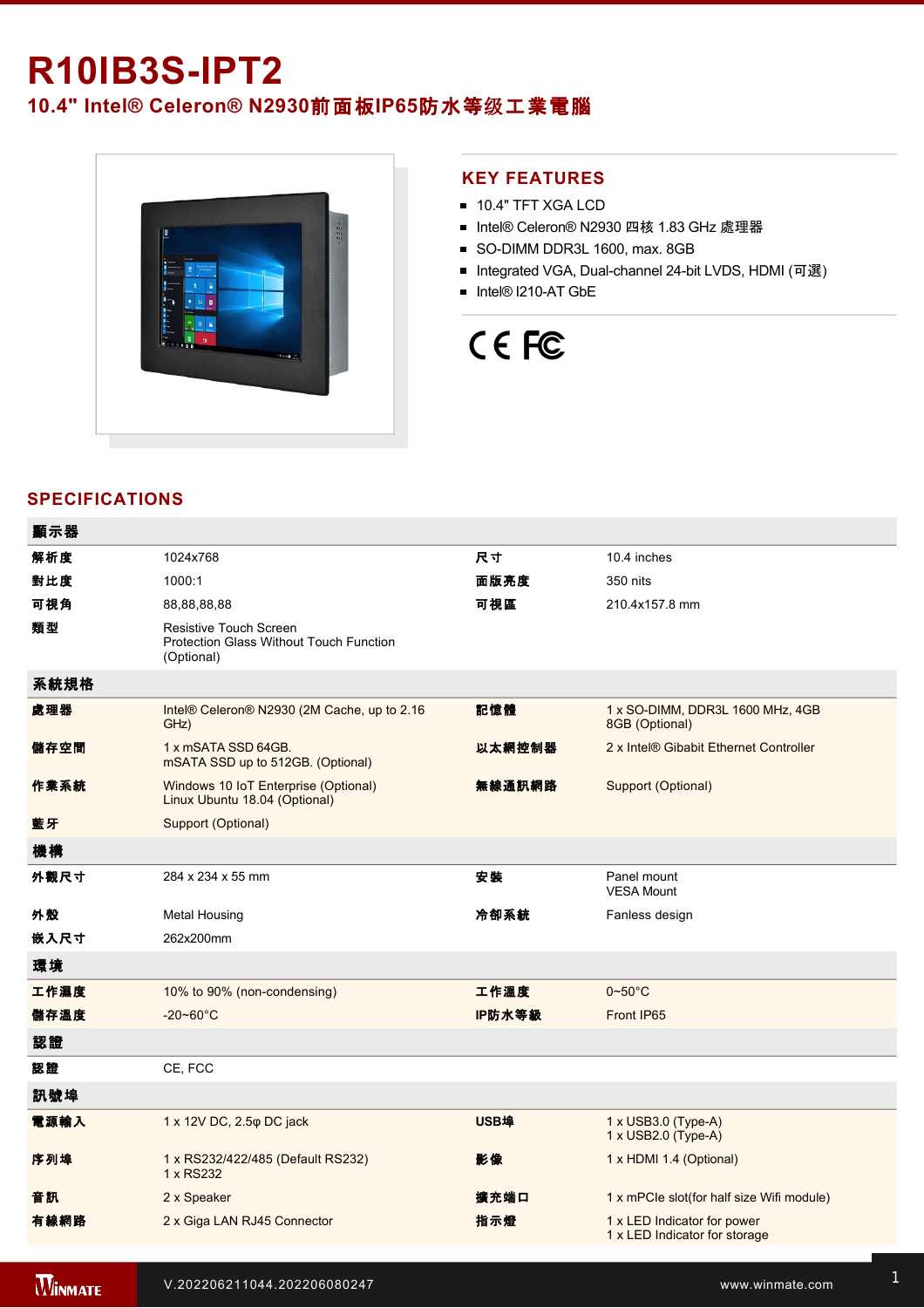# **R10IB3SIPT2**

**10.4" Intel® Celeron® N2930**前面板**IP65**防水等级工業電腦



#### **KEY FEATURES**

- **10.4" TFT XGA LCD**
- Intel® Celeron® N2930 四核 1.83 GHz 處理器
- SO-DIMM DDR3L 1600, max. 8GB
- Integrated VGA, Dual-channel 24-bit LVDS, HDMI (可選)
- Intel® I210-AT GbE

# CE FC

### **SPECIFICATIONS**

| 顯示器  |                                                                                               |             |                                                              |
|------|-----------------------------------------------------------------------------------------------|-------------|--------------------------------------------------------------|
| 解析度  | 1024x768                                                                                      | 尺寸          | 10.4 inches                                                  |
| 對比度  | 1000:1                                                                                        | 面版亮度        | 350 nits                                                     |
| 可視角  | 88,88,88,88                                                                                   | 可視區         | 210.4x157.8 mm                                               |
| 類型   | <b>Resistive Touch Screen</b><br><b>Protection Glass Without Touch Function</b><br>(Optional) |             |                                                              |
| 系統規格 |                                                                                               |             |                                                              |
| 處理器  | Intel® Celeron® N2930 (2M Cache, up to 2.16<br>GHz)                                           | 記憶體         | 1 x SO-DIMM, DDR3L 1600 MHz, 4GB<br>8GB (Optional)           |
| 儲存空間 | 1 x mSATA SSD 64GB.<br>mSATA SSD up to 512GB. (Optional)                                      | 以太網控制器      | 2 x Intel® Gibabit Ethernet Controller                       |
| 作業系統 | Windows 10 IoT Enterprise (Optional)<br>Linux Ubuntu 18.04 (Optional)                         | 無線通訊網路      | Support (Optional)                                           |
| 藍牙   | Support (Optional)                                                                            |             |                                                              |
| 機構   |                                                                                               |             |                                                              |
| 外觀尺寸 | 284 x 234 x 55 mm                                                                             | 安装          | Panel mount<br><b>VESA Mount</b>                             |
| 外殼   | <b>Metal Housing</b>                                                                          | 冷卻系統        | Fanless design                                               |
| 嵌入尺寸 | 262x200mm                                                                                     |             |                                                              |
| 環境   |                                                                                               |             |                                                              |
| 工作濕度 | 10% to 90% (non-condensing)                                                                   | 工作溫度        | $0\nightharpoonup 50^\circ C$                                |
| 儲存溫度 | $-20 - 60^{\circ}$ C                                                                          | IP防水等級      | Front IP65                                                   |
| 認證   |                                                                                               |             |                                                              |
| 認證   | CE, FCC                                                                                       |             |                                                              |
| 訊號埠  |                                                                                               |             |                                                              |
| 電源輸入 | 1 x 12V DC, 2.5 $\varphi$ DC jack                                                             | <b>USB埠</b> | 1 x USB3.0 (Type-A)<br>1 x USB2.0 (Type-A)                   |
| 序列埠  | 1 x RS232/422/485 (Default RS232)<br>1 x RS232                                                | 影像          | 1 x HDMI 1.4 (Optional)                                      |
| 音訊   | 2 x Speaker                                                                                   | 擴充端口        | 1 x mPCle slot(for half size Wifi module)                    |
| 有線網路 | 2 x Giga LAN RJ45 Connector                                                                   | 指示燈         | 1 x LED Indicator for power<br>1 x LED Indicator for storage |
|      |                                                                                               |             |                                                              |

**WINMATE**